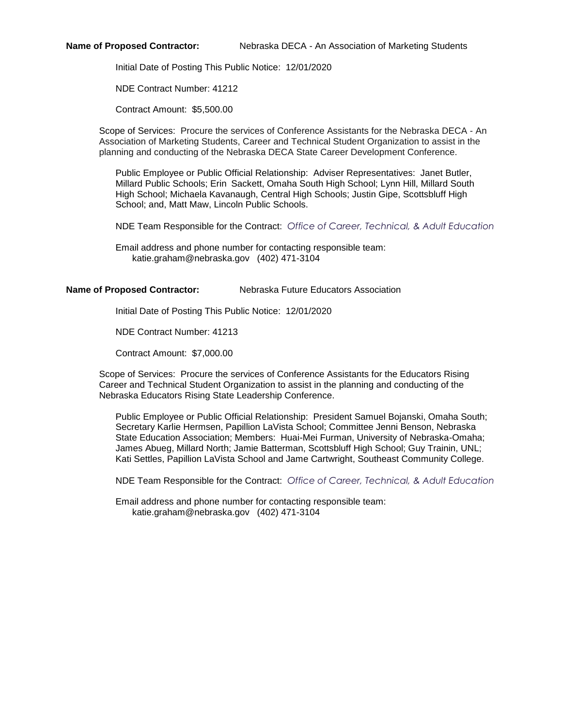**Name of Proposed Contractor:** Nebraska DECA - An Association of Marketing Students

Initial Date of Posting This Public Notice: 12/01/2020

NDE Contract Number: 41212

Contract Amount: \$5,500.00

Scope of Services: Procure the services of Conference Assistants for the Nebraska DECA - An Association of Marketing Students, Career and Technical Student Organization to assist in the planning and conducting of the Nebraska DECA State Career Development Conference.

Public Employee or Public Official Relationship: Adviser Representatives: Janet Butler, Millard Public Schools; Erin Sackett, Omaha South High School; Lynn Hill, Millard South High School; Michaela Kavanaugh, Central High Schools; Justin Gipe, Scottsbluff High School; and, Matt Maw, Lincoln Public Schools.

NDE Team Responsible for the Contract: *Office of Career, Technical, & Adult Education*

Email address and phone number for contacting responsible team: katie.graham@nebraska.gov (402) 471-3104

## **Name of Proposed Contractor:** Nebraska Future Educators Association

Initial Date of Posting This Public Notice: 12/01/2020

NDE Contract Number: 41213

Contract Amount: \$7,000.00

Scope of Services: Procure the services of Conference Assistants for the Educators Rising Career and Technical Student Organization to assist in the planning and conducting of the Nebraska Educators Rising State Leadership Conference.

Public Employee or Public Official Relationship: President Samuel Bojanski, Omaha South; Secretary Karlie Hermsen, Papillion LaVista School; Committee Jenni Benson, Nebraska State Education Association; Members: Huai-Mei Furman, University of Nebraska-Omaha; James Abueg, Millard North; Jamie Batterman, Scottsbluff High School; Guy Trainin, UNL; Kati Settles, Papillion LaVista School and Jame Cartwright, Southeast Community College.

NDE Team Responsible for the Contract: *Office of Career, Technical, & Adult Education*

Email address and phone number for contacting responsible team: katie.graham@nebraska.gov (402) 471-3104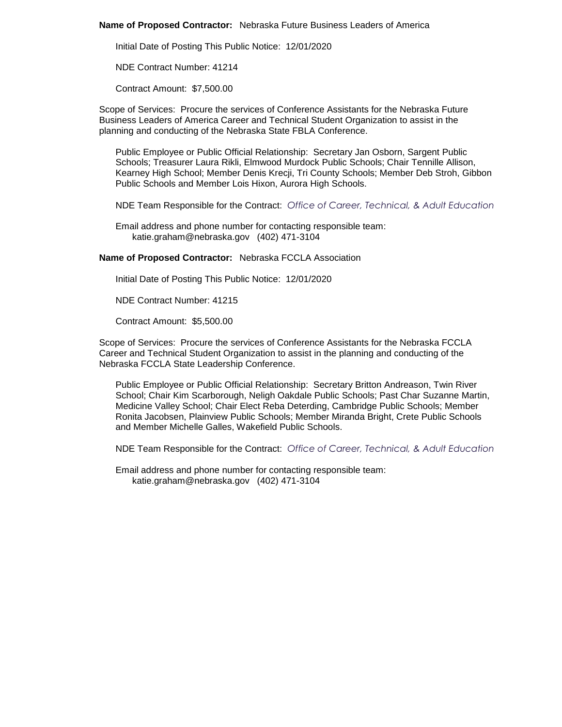### **Name of Proposed Contractor:** Nebraska Future Business Leaders of America

Initial Date of Posting This Public Notice: 12/01/2020

NDE Contract Number: 41214

Contract Amount: \$7,500.00

Scope of Services: Procure the services of Conference Assistants for the Nebraska Future Business Leaders of America Career and Technical Student Organization to assist in the planning and conducting of the Nebraska State FBLA Conference.

Public Employee or Public Official Relationship: Secretary Jan Osborn, Sargent Public Schools; Treasurer Laura Rikli, Elmwood Murdock Public Schools; Chair Tennille Allison, Kearney High School; Member Denis Krecji, Tri County Schools; Member Deb Stroh, Gibbon Public Schools and Member Lois Hixon, Aurora High Schools.

NDE Team Responsible for the Contract: *Office of Career, Technical, & Adult Education*

Email address and phone number for contacting responsible team: katie.graham@nebraska.gov (402) 471-3104

**Name of Proposed Contractor:** Nebraska FCCLA Association

Initial Date of Posting This Public Notice: 12/01/2020

NDE Contract Number: 41215

Contract Amount: \$5,500.00

Scope of Services: Procure the services of Conference Assistants for the Nebraska FCCLA Career and Technical Student Organization to assist in the planning and conducting of the Nebraska FCCLA State Leadership Conference.

Public Employee or Public Official Relationship: Secretary Britton Andreason, Twin River School; Chair Kim Scarborough, Neligh Oakdale Public Schools; Past Char Suzanne Martin, Medicine Valley School; Chair Elect Reba Deterding, Cambridge Public Schools; Member Ronita Jacobsen, Plainview Public Schools; Member Miranda Bright, Crete Public Schools and Member Michelle Galles, Wakefield Public Schools.

NDE Team Responsible for the Contract: *Office of Career, Technical, & Adult Education*

Email address and phone number for contacting responsible team: katie.graham@nebraska.gov (402) 471-3104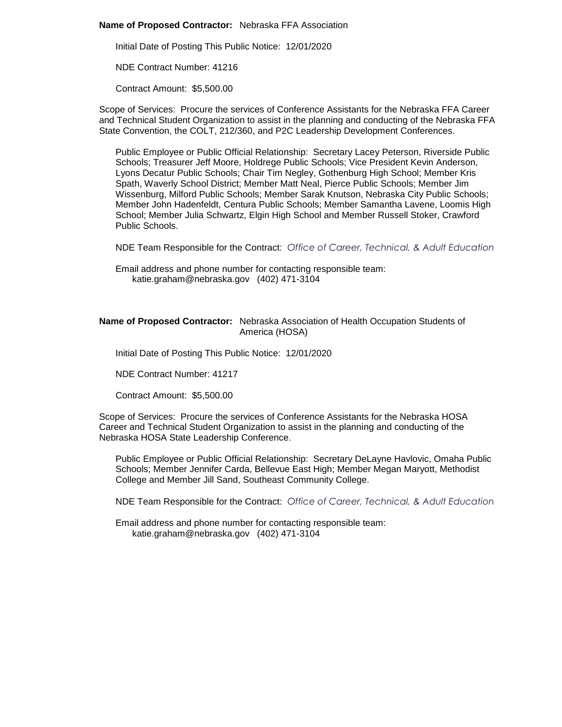### **Name of Proposed Contractor:** Nebraska FFA Association

Initial Date of Posting This Public Notice: 12/01/2020

NDE Contract Number: 41216

Contract Amount: \$5,500.00

Scope of Services: Procure the services of Conference Assistants for the Nebraska FFA Career and Technical Student Organization to assist in the planning and conducting of the Nebraska FFA State Convention, the COLT, 212/360, and P2C Leadership Development Conferences.

Public Employee or Public Official Relationship: Secretary Lacey Peterson, Riverside Public Schools; Treasurer Jeff Moore, Holdrege Public Schools; Vice President Kevin Anderson, Lyons Decatur Public Schools; Chair Tim Negley, Gothenburg High School; Member Kris Spath, Waverly School District; Member Matt Neal, Pierce Public Schools; Member Jim Wissenburg, Milford Public Schools; Member Sarak Knutson, Nebraska City Public Schools; Member John Hadenfeldt, Centura Public Schools; Member Samantha Lavene, Loomis High School; Member Julia Schwartz, Elgin High School and Member Russell Stoker, Crawford Public Schools.

NDE Team Responsible for the Contract: *Office of Career, Technical, & Adult Education*

Email address and phone number for contacting responsible team: katie.graham@nebraska.gov (402) 471-3104

# **Name of Proposed Contractor:** Nebraska Association of Health Occupation Students of America (HOSA)

Initial Date of Posting This Public Notice: 12/01/2020

NDE Contract Number: 41217

Contract Amount: \$5,500.00

Scope of Services: Procure the services of Conference Assistants for the Nebraska HOSA Career and Technical Student Organization to assist in the planning and conducting of the Nebraska HOSA State Leadership Conference.

Public Employee or Public Official Relationship: Secretary DeLayne Havlovic, Omaha Public Schools; Member Jennifer Carda, Bellevue East High; Member Megan Maryott, Methodist College and Member Jill Sand, Southeast Community College.

NDE Team Responsible for the Contract: *Office of Career, Technical, & Adult Education*

Email address and phone number for contacting responsible team: katie.graham@nebraska.gov (402) 471-3104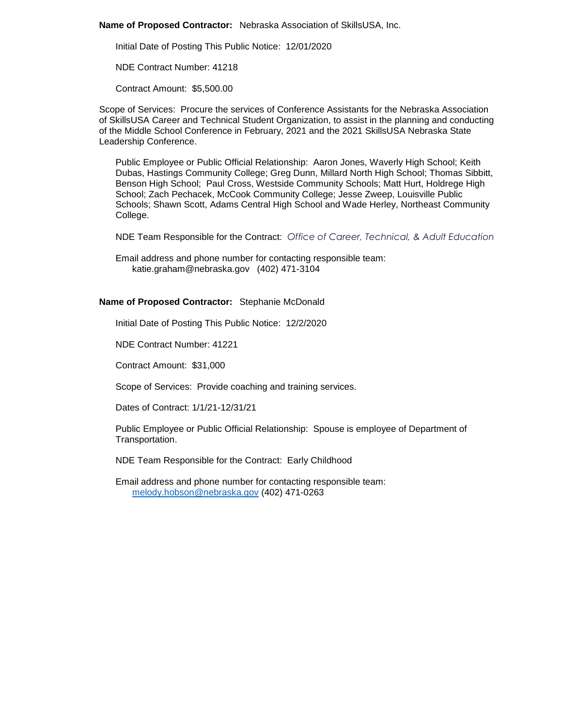**Name of Proposed Contractor:** Nebraska Association of SkillsUSA, Inc.

Initial Date of Posting This Public Notice: 12/01/2020

NDE Contract Number: 41218

Contract Amount: \$5,500.00

Scope of Services: Procure the services of Conference Assistants for the Nebraska Association of SkillsUSA Career and Technical Student Organization, to assist in the planning and conducting of the Middle School Conference in February, 2021 and the 2021 SkillsUSA Nebraska State Leadership Conference.

Public Employee or Public Official Relationship: Aaron Jones, Waverly High School; Keith Dubas, Hastings Community College; Greg Dunn, Millard North High School; Thomas Sibbitt, Benson High School; Paul Cross, Westside Community Schools; Matt Hurt, Holdrege High School; Zach Pechacek, McCook Community College; Jesse Zweep, Louisville Public Schools; Shawn Scott, Adams Central High School and Wade Herley, Northeast Community College.

NDE Team Responsible for the Contract: *Office of Career, Technical, & Adult Education*

Email address and phone number for contacting responsible team: katie.graham@nebraska.gov (402) 471-3104

## **Name of Proposed Contractor:** Stephanie McDonald

Initial Date of Posting This Public Notice: 12/2/2020

NDE Contract Number: 41221

Contract Amount: \$31,000

Scope of Services: Provide coaching and training services.

Dates of Contract: 1/1/21-12/31/21

Public Employee or Public Official Relationship: Spouse is employee of Department of Transportation.

NDE Team Responsible for the Contract: Early Childhood

Email address and phone number for contacting responsible team: [melody.hobson@nebraska.gov](mailto:melody.hobson@nebraska.gov) (402) 471-0263